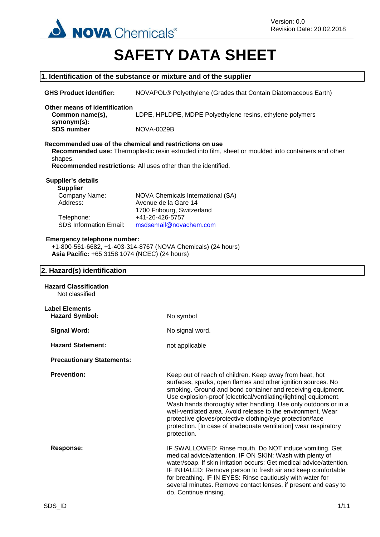

# **SAFETY DATA SHEET**

|                                                                                     | 1. Identification of the substance or mixture and of the supplier                                                                                                                                                                                                                                                                                                                                                                                                                                                                             |
|-------------------------------------------------------------------------------------|-----------------------------------------------------------------------------------------------------------------------------------------------------------------------------------------------------------------------------------------------------------------------------------------------------------------------------------------------------------------------------------------------------------------------------------------------------------------------------------------------------------------------------------------------|
| <b>GHS Product identifier:</b>                                                      | NOVAPOL® Polyethylene (Grades that Contain Diatomaceous Earth)                                                                                                                                                                                                                                                                                                                                                                                                                                                                                |
| Other means of identification<br>Common name(s),                                    | LDPE, HPLDPE, MDPE Polyethylene resins, ethylene polymers                                                                                                                                                                                                                                                                                                                                                                                                                                                                                     |
| synonym(s):<br><b>SDS number</b>                                                    | <b>NOVA-0029B</b>                                                                                                                                                                                                                                                                                                                                                                                                                                                                                                                             |
| shapes.                                                                             | Recommended use of the chemical and restrictions on use<br>Recommended use: Thermoplastic resin extruded into film, sheet or moulded into containers and other<br>Recommended restrictions: All uses other than the identified.                                                                                                                                                                                                                                                                                                               |
| <b>Supplier's details</b>                                                           |                                                                                                                                                                                                                                                                                                                                                                                                                                                                                                                                               |
| <b>Supplier</b><br>Company Name:<br>Address:                                        | NOVA Chemicals International (SA)<br>Avenue de la Gare 14<br>1700 Fribourg, Switzerland                                                                                                                                                                                                                                                                                                                                                                                                                                                       |
| Telephone:<br><b>SDS Information Email:</b>                                         | +41-26-426-5757<br>msdsemail@novachem.com                                                                                                                                                                                                                                                                                                                                                                                                                                                                                                     |
| <b>Emergency telephone number:</b><br>Asia Pacific: +65 3158 1074 (NCEC) (24 hours) | +1-800-561-6682, +1-403-314-8767 (NOVA Chemicals) (24 hours)                                                                                                                                                                                                                                                                                                                                                                                                                                                                                  |
| 2. Hazard(s) identification                                                         |                                                                                                                                                                                                                                                                                                                                                                                                                                                                                                                                               |
| <b>Hazard Classification</b><br>Not classified                                      |                                                                                                                                                                                                                                                                                                                                                                                                                                                                                                                                               |
| <b>Label Elements</b><br><b>Hazard Symbol:</b>                                      | No symbol                                                                                                                                                                                                                                                                                                                                                                                                                                                                                                                                     |
| <b>Signal Word:</b>                                                                 | No signal word.                                                                                                                                                                                                                                                                                                                                                                                                                                                                                                                               |
| <b>Hazard Statement:</b>                                                            | not applicable                                                                                                                                                                                                                                                                                                                                                                                                                                                                                                                                |
| <b>Precautionary Statements:</b>                                                    |                                                                                                                                                                                                                                                                                                                                                                                                                                                                                                                                               |
| <b>Prevention:</b>                                                                  | Keep out of reach of children. Keep away from heat, hot<br>surfaces, sparks, open flames and other ignition sources. No<br>smoking. Ground and bond container and receiving equipment.<br>Use explosion-proof [electrical/ventilating/lighting] equipment.<br>Wash hands thoroughly after handling. Use only outdoors or in a<br>well-ventilated area. Avoid release to the environment. Wear<br>protective gloves/protective clothing/eye protection/face<br>protection. [In case of inadequate ventilation] wear respiratory<br>protection. |
| <b>Response:</b>                                                                    | IF SWALLOWED: Rinse mouth. Do NOT induce vomiting. Get<br>medical advice/attention. IF ON SKIN: Wash with plenty of<br>water/soap. If skin irritation occurs: Get medical advice/attention.<br>IF INHALED: Remove person to fresh air and keep comfortable<br>for breathing. IF IN EYES: Rinse cautiously with water for<br>several minutes. Remove contact lenses, if present and easy to<br>do. Continue rinsing.                                                                                                                           |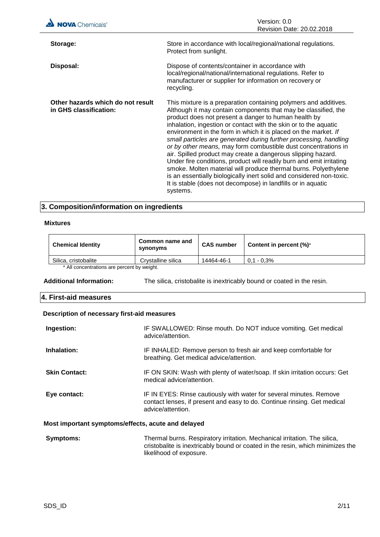| <b>NOVA</b> Chemicals®                                      | Version: 0.0<br>Revision Date: 20.02.2018                                                                                                                                                                                                                                                                                                                                                                                                                                                                                                                                                                                                                                                                                                                                                                                               |
|-------------------------------------------------------------|-----------------------------------------------------------------------------------------------------------------------------------------------------------------------------------------------------------------------------------------------------------------------------------------------------------------------------------------------------------------------------------------------------------------------------------------------------------------------------------------------------------------------------------------------------------------------------------------------------------------------------------------------------------------------------------------------------------------------------------------------------------------------------------------------------------------------------------------|
| Storage:                                                    | Store in accordance with local/regional/national regulations.<br>Protect from sunlight.                                                                                                                                                                                                                                                                                                                                                                                                                                                                                                                                                                                                                                                                                                                                                 |
| Disposal:                                                   | Dispose of contents/container in accordance with<br>local/regional/national/international regulations. Refer to<br>manufacturer or supplier for information on recovery or<br>recycling.                                                                                                                                                                                                                                                                                                                                                                                                                                                                                                                                                                                                                                                |
| Other hazards which do not result<br>in GHS classification: | This mixture is a preparation containing polymers and additives.<br>Although it may contain components that may be classified, the<br>product does not present a danger to human health by<br>inhalation, ingestion or contact with the skin or to the aquatic<br>environment in the form in which it is placed on the market. If<br>small particles are generated during further processing, handling<br>or by other means, may form combustible dust concentrations in<br>air. Spilled product may create a dangerous slipping hazard.<br>Under fire conditions, product will readily burn and emit irritating<br>smoke. Molten material will produce thermal burns. Polyethylene<br>is an essentially biologically inert solid and considered non-toxic.<br>It is stable (does not decompose) in landfills or in aquatic<br>systems. |

## **3. Composition/information on ingredients**

## **Mixtures**

| Common name and<br>synonyms                 | <b>CAS number</b> | Content in percent $(\%)^*$ |
|---------------------------------------------|-------------------|-----------------------------|
| Crystalline silica                          | 14464-46-1        | $0.1 - 0.3\%$               |
| * All concentrations are percent by weight. |                   |                             |
|                                             |                   |                             |

**Additional Information:** The silica, cristobalite is inextricably bound or coated in the resin.

## **4. First-aid measures**

## **Description of necessary first-aid measures**

| Ingestion:                                         | IF SWALLOWED: Rinse mouth. Do NOT induce vomiting. Get medical<br>advice/attention.                                                                                  |
|----------------------------------------------------|----------------------------------------------------------------------------------------------------------------------------------------------------------------------|
| Inhalation:                                        | IF INHALED: Remove person to fresh air and keep comfortable for<br>breathing. Get medical advice/attention.                                                          |
| <b>Skin Contact:</b>                               | IF ON SKIN: Wash with plenty of water/soap. If skin irritation occurs: Get<br>medical advice/attention.                                                              |
| Eye contact:                                       | IF IN EYES: Rinse cautiously with water for several minutes. Remove<br>contact lenses, if present and easy to do. Continue rinsing. Get medical<br>advice/attention. |
| Most important symptoms/effects, acute and delayed |                                                                                                                                                                      |
| $\mathbf{r}$ and $\mathbf{r}$ and $\mathbf{r}$     | The second because the contractions instructions. March second instructions that will be                                                                             |

### **Symptoms:** Thermal burns. Respiratory irritation. Mechanical irritation. The silica, cristobalite is inextricably bound or coated in the resin, which minimizes the likelihood of exposure.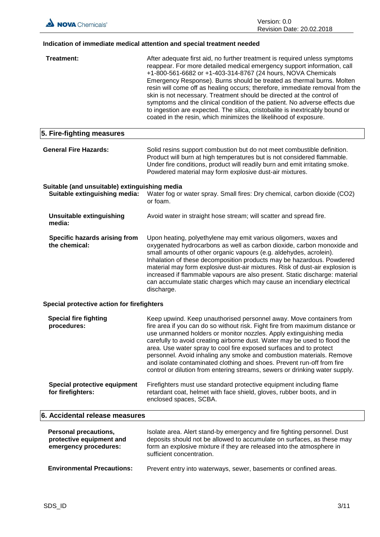## **Indication of immediate medical attention and special treatment needed**

| Treatment:                                                                        | After adequate first aid, no further treatment is required unless symptoms<br>reappear. For more detailed medical emergency support information, call<br>+1-800-561-6682 or +1-403-314-8767 (24 hours, NOVA Chemicals<br>Emergency Response). Burns should be treated as thermal burns. Molten<br>resin will come off as healing occurs; therefore, immediate removal from the<br>skin is not necessary. Treatment should be directed at the control of<br>symptoms and the clinical condition of the patient. No adverse effects due<br>to ingestion are expected. The silica, cristobalite is inextricably bound or<br>coated in the resin, which minimizes the likelihood of exposure. |
|-----------------------------------------------------------------------------------|-------------------------------------------------------------------------------------------------------------------------------------------------------------------------------------------------------------------------------------------------------------------------------------------------------------------------------------------------------------------------------------------------------------------------------------------------------------------------------------------------------------------------------------------------------------------------------------------------------------------------------------------------------------------------------------------|
| 5. Fire-fighting measures                                                         |                                                                                                                                                                                                                                                                                                                                                                                                                                                                                                                                                                                                                                                                                           |
| <b>General Fire Hazards:</b>                                                      | Solid resins support combustion but do not meet combustible definition.<br>Product will burn at high temperatures but is not considered flammable.<br>Under fire conditions, product will readily burn and emit irritating smoke.<br>Powdered material may form explosive dust-air mixtures.                                                                                                                                                                                                                                                                                                                                                                                              |
| Suitable (and unsuitable) extinguishing media<br>Suitable extinguishing media:    | Water fog or water spray. Small fires: Dry chemical, carbon dioxide (CO2)<br>or foam.                                                                                                                                                                                                                                                                                                                                                                                                                                                                                                                                                                                                     |
| <b>Unsuitable extinguishing</b><br>media:                                         | Avoid water in straight hose stream; will scatter and spread fire.                                                                                                                                                                                                                                                                                                                                                                                                                                                                                                                                                                                                                        |
| Specific hazards arising from<br>the chemical:                                    | Upon heating, polyethylene may emit various oligomers, waxes and<br>oxygenated hydrocarbons as well as carbon dioxide, carbon monoxide and<br>small amounts of other organic vapours (e.g. aldehydes, acrolein).<br>Inhalation of these decomposition products may be hazardous. Powdered<br>material may form explosive dust-air mixtures. Risk of dust-air explosion is<br>increased if flammable vapours are also present. Static discharge: material<br>can accumulate static charges which may cause an incendiary electrical<br>discharge.                                                                                                                                          |
| Special protective action for firefighters                                        |                                                                                                                                                                                                                                                                                                                                                                                                                                                                                                                                                                                                                                                                                           |
| <b>Special fire fighting</b><br>procedures:                                       | Keep upwind. Keep unauthorised personnel away. Move containers from<br>fire area if you can do so without risk. Fight fire from maximum distance or<br>use unmanned holders or monitor nozzles. Apply extinguishing media<br>carefully to avoid creating airborne dust. Water may be used to flood the<br>area. Use water spray to cool fire exposed surfaces and to protect<br>personnel. Avoid inhaling any smoke and combustion materials. Remove<br>and isolate contaminated clothing and shoes. Prevent run-off from fire<br>control or dilution from entering streams, sewers or drinking water supply.                                                                             |
| <b>Special protective equipment</b><br>for firefighters:                          | Firefighters must use standard protective equipment including flame<br>retardant coat, helmet with face shield, gloves, rubber boots, and in<br>enclosed spaces, SCBA.                                                                                                                                                                                                                                                                                                                                                                                                                                                                                                                    |
| 6. Accidental release measures                                                    |                                                                                                                                                                                                                                                                                                                                                                                                                                                                                                                                                                                                                                                                                           |
| <b>Personal precautions,</b><br>protective equipment and<br>emergency procedures: | Isolate area. Alert stand-by emergency and fire fighting personnel. Dust<br>deposits should not be allowed to accumulate on surfaces, as these may<br>form an explosive mixture if they are released into the atmosphere in<br>sufficient concentration.                                                                                                                                                                                                                                                                                                                                                                                                                                  |
| <b>Environmental Precautions:</b>                                                 | Prevent entry into waterways, sewer, basements or confined areas.                                                                                                                                                                                                                                                                                                                                                                                                                                                                                                                                                                                                                         |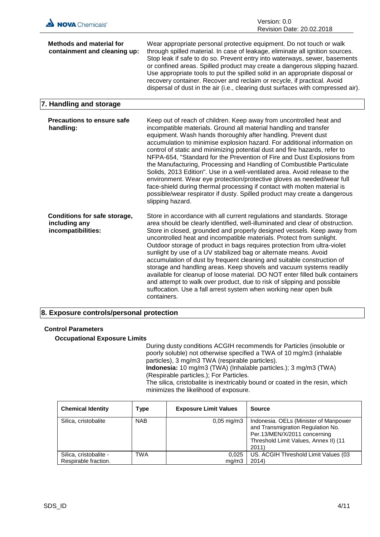

## **8. Exposure controls/personal protection**

## **Control Parameters**

## **Occupational Exposure Limits**

During dusty conditions ACGIH recommends for Particles (insoluble or poorly soluble) not otherwise specified a TWA of 10 mg/m3 (inhalable particles), 3 mg/m3 TWA (respirable particles). **Indonesia:** 10 mg/m3 (TWA) (Inhalable particles.); 3 mg/m3 (TWA) (Respirable particles.); For Particles. The silica, cristobalite is inextricably bound or coated in the resin, which minimizes the likelihood of exposure.

| <b>Chemical Identity</b>                       | Type       | <b>Exposure Limit Values</b> | Source                                                                                                                                                       |
|------------------------------------------------|------------|------------------------------|--------------------------------------------------------------------------------------------------------------------------------------------------------------|
| Silica, cristobalite                           | <b>NAB</b> | $0,05 \,\mathrm{mg/m}$       | Indonesia. OELs (Minister of Manpower<br>and Transmigration Regulation No.<br>Per.13/MEN/X/2011 concerning<br>Threshold Limit Values, Annex II) (11<br>2011) |
| Silica, cristobalite -<br>Respirable fraction. | TWA        | 0,025<br>mq/m3               | US. ACGIH Threshold Limit Values (03<br>2014)                                                                                                                |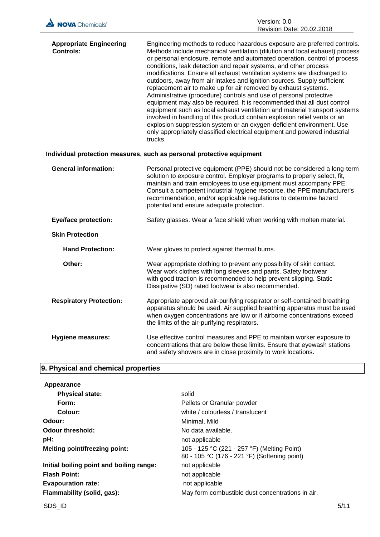| NOVA Chemicals® | Version: 0.0                     |
|-----------------|----------------------------------|
|                 | <b>Revision Date: 20.02.2018</b> |

| <b>Appropriate Engineering</b><br><b>Controls:</b> | Engineering methods to reduce hazardous exposure are preferred controls.<br>Methods include mechanical ventilation (dilution and local exhaust) process<br>or personal enclosure, remote and automated operation, control of process<br>conditions, leak detection and repair systems, and other process<br>modifications. Ensure all exhaust ventilation systems are discharged to<br>outdoors, away from air intakes and ignition sources. Supply sufficient<br>replacement air to make up for air removed by exhaust systems.<br>Administrative (procedure) controls and use of personal protective<br>equipment may also be required. It is recommended that all dust control<br>equipment such as local exhaust ventilation and material transport systems<br>involved in handling of this product contain explosion relief vents or an<br>explosion suppression system or an oxygen-deficient environment. Use<br>only appropriately classified electrical equipment and powered industrial<br>trucks. |
|----------------------------------------------------|--------------------------------------------------------------------------------------------------------------------------------------------------------------------------------------------------------------------------------------------------------------------------------------------------------------------------------------------------------------------------------------------------------------------------------------------------------------------------------------------------------------------------------------------------------------------------------------------------------------------------------------------------------------------------------------------------------------------------------------------------------------------------------------------------------------------------------------------------------------------------------------------------------------------------------------------------------------------------------------------------------------|
|                                                    | Individual protection measures, such as personal protective equipment                                                                                                                                                                                                                                                                                                                                                                                                                                                                                                                                                                                                                                                                                                                                                                                                                                                                                                                                        |
| <b>General information:</b>                        | Personal protective equipment (PPE) should not be considered a long-term<br>solution to exposure control. Employer programs to properly select, fit,<br>maintain and train employees to use equipment must accompany PPE.<br>Consult a competent industrial hygiene resource, the PPE manufacturer's<br>recommendation, and/or applicable regulations to determine hazard<br>potential and ensure adequate protection.                                                                                                                                                                                                                                                                                                                                                                                                                                                                                                                                                                                       |
| <b>Eye/face protection:</b>                        | Safety glasses. Wear a face shield when working with molten material.                                                                                                                                                                                                                                                                                                                                                                                                                                                                                                                                                                                                                                                                                                                                                                                                                                                                                                                                        |
| <b>Skin Protection</b>                             |                                                                                                                                                                                                                                                                                                                                                                                                                                                                                                                                                                                                                                                                                                                                                                                                                                                                                                                                                                                                              |
| <b>Hand Protection:</b>                            | Wear gloves to protect against thermal burns.                                                                                                                                                                                                                                                                                                                                                                                                                                                                                                                                                                                                                                                                                                                                                                                                                                                                                                                                                                |
| Other:                                             | Wear appropriate clothing to prevent any possibility of skin contact.<br>Wear work clothes with long sleeves and pants. Safety footwear<br>with good traction is recommended to help prevent slipping. Static<br>Dissipative (SD) rated footwear is also recommended.                                                                                                                                                                                                                                                                                                                                                                                                                                                                                                                                                                                                                                                                                                                                        |
| <b>Respiratory Protection:</b>                     | Appropriate approved air-purifying respirator or self-contained breathing<br>apparatus should be used. Air supplied breathing apparatus must be used<br>when oxygen concentrations are low or if airborne concentrations exceed<br>the limits of the air-purifying respirators.                                                                                                                                                                                                                                                                                                                                                                                                                                                                                                                                                                                                                                                                                                                              |
| <b>Hygiene measures:</b>                           | Use effective control measures and PPE to maintain worker exposure to<br>concentrations that are below these limits. Ensure that eyewash stations<br>and safety showers are in close proximity to work locations.                                                                                                                                                                                                                                                                                                                                                                                                                                                                                                                                                                                                                                                                                                                                                                                            |

## **9. Physical and chemical properties**

| Appearance                               |                                                                                             |
|------------------------------------------|---------------------------------------------------------------------------------------------|
| <b>Physical state:</b>                   | solid                                                                                       |
| Form:                                    | Pellets or Granular powder                                                                  |
| Colour:                                  | white / colourless / translucent                                                            |
| Odour:                                   | Minimal, Mild                                                                               |
| <b>Odour threshold:</b>                  | No data available.                                                                          |
| pH:                                      | not applicable                                                                              |
| <b>Melting point/freezing point:</b>     | 105 - 125 °C (221 - 257 °F) (Melting Point)<br>80 - 105 °C (176 - 221 °F) (Softening point) |
| Initial boiling point and boiling range: | not applicable                                                                              |
| <b>Flash Point:</b>                      | not applicable                                                                              |
| <b>Evapouration rate:</b>                | not applicable                                                                              |
| Flammability (solid, gas):               | May form combustible dust concentrations in air.                                            |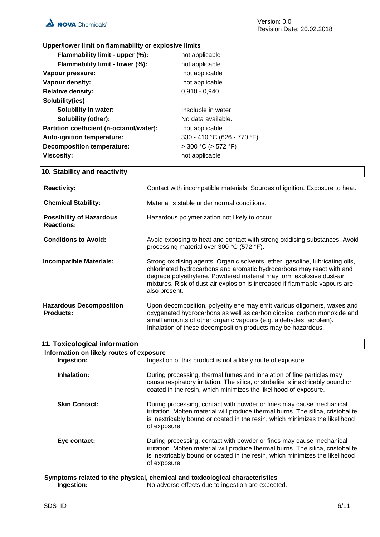**Upper/lower limit on flammability or explosive limits**

| Flammability limit - upper (%):          | not applicable              |
|------------------------------------------|-----------------------------|
| Flammability limit - lower (%):          | not applicable              |
| Vapour pressure:                         | not applicable              |
| Vapour density:                          | not applicable              |
| <b>Relative density:</b>                 | $0,910 - 0,940$             |
| Solubility(ies)                          |                             |
| Solubility in water:                     | Insoluble in water          |
| <b>Solubility (other):</b>               | No data available.          |
| Partition coefficient (n-octanol/water): | not applicable              |
| Auto-ignition temperature:               | 330 - 410 °C (626 - 770 °F) |
| <b>Decomposition temperature:</b>        | $>$ 300 °C ( $>$ 572 °F)    |
| <b>Viscosity:</b>                        | not applicable              |
|                                          |                             |

## **10. Stability and reactivity**

| <b>Reactivity:</b>                                   | Contact with incompatible materials. Sources of ignition. Exposure to heat.                                                                                                                                                                                                                                                  |
|------------------------------------------------------|------------------------------------------------------------------------------------------------------------------------------------------------------------------------------------------------------------------------------------------------------------------------------------------------------------------------------|
| <b>Chemical Stability:</b>                           | Material is stable under normal conditions.                                                                                                                                                                                                                                                                                  |
| <b>Possibility of Hazardous</b><br><b>Reactions:</b> | Hazardous polymerization not likely to occur.                                                                                                                                                                                                                                                                                |
| <b>Conditions to Avoid:</b>                          | Avoid exposing to heat and contact with strong oxidising substances. Avoid<br>processing material over 300 °C (572 °F).                                                                                                                                                                                                      |
| <b>Incompatible Materials:</b>                       | Strong oxidising agents. Organic solvents, ether, gasoline, lubricating oils,<br>chlorinated hydrocarbons and aromatic hydrocarbons may react with and<br>degrade polyethylene. Powdered material may form explosive dust-air<br>mixtures. Risk of dust-air explosion is increased if flammable vapours are<br>also present. |
| <b>Hazardous Decomposition</b><br><b>Products:</b>   | Upon decomposition, polyethylene may emit various oligomers, waxes and<br>oxygenated hydrocarbons as well as carbon dioxide, carbon monoxide and<br>small amounts of other organic vapours (e.g. aldehydes, acrolein).<br>Inhalation of these decomposition products may be hazardous.                                       |

| 11. Toxicological information            |                                                                                                                                                                                                                                                          |  |
|------------------------------------------|----------------------------------------------------------------------------------------------------------------------------------------------------------------------------------------------------------------------------------------------------------|--|
| Information on likely routes of exposure |                                                                                                                                                                                                                                                          |  |
| Ingestion:                               | Ingestion of this product is not a likely route of exposure.                                                                                                                                                                                             |  |
| Inhalation:                              | During processing, thermal fumes and inhalation of fine particles may<br>cause respiratory irritation. The silica, cristobalite is inextricably bound or<br>coated in the resin, which minimizes the likelihood of exposure.                             |  |
| <b>Skin Contact:</b>                     | During processing, contact with powder or fines may cause mechanical<br>irritation. Molten material will produce thermal burns. The silica, cristobalite<br>is inextricably bound or coated in the resin, which minimizes the likelihood<br>of exposure. |  |
| Eye contact:                             | During processing, contact with powder or fines may cause mechanical<br>irritation. Molten material will produce thermal burns. The silica, cristobalite<br>is inextricably bound or coated in the resin, which minimizes the likelihood<br>of exposure. |  |
| Ingestion:                               | Symptoms related to the physical, chemical and toxicological characteristics<br>No adverse effects due to ingestion are expected.                                                                                                                        |  |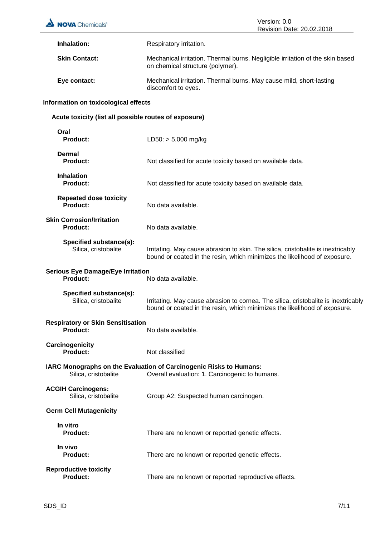| <b>NOVA</b> Chemicals®                                      | Version: 0.0<br>Revision Date: 20.02.2018                                                                                                                       |
|-------------------------------------------------------------|-----------------------------------------------------------------------------------------------------------------------------------------------------------------|
| Inhalation:                                                 | Respiratory irritation.                                                                                                                                         |
| <b>Skin Contact:</b>                                        | Mechanical irritation. Thermal burns. Negligible irritation of the skin based<br>on chemical structure (polymer).                                               |
| Eye contact:                                                | Mechanical irritation. Thermal burns. May cause mild, short-lasting<br>discomfort to eyes.                                                                      |
| Information on toxicological effects                        |                                                                                                                                                                 |
| Acute toxicity (list all possible routes of exposure)       |                                                                                                                                                                 |
| Oral<br><b>Product:</b>                                     | $LD50: > 5.000$ mg/kg                                                                                                                                           |
| <b>Dermal</b><br><b>Product:</b>                            | Not classified for acute toxicity based on available data.                                                                                                      |
| <b>Inhalation</b><br><b>Product:</b>                        | Not classified for acute toxicity based on available data.                                                                                                      |
| <b>Repeated dose toxicity</b><br>Product:                   | No data available.                                                                                                                                              |
| <b>Skin Corrosion/Irritation</b><br><b>Product:</b>         | No data available.                                                                                                                                              |
| Specified substance(s):<br>Silica, cristobalite             | Irritating. May cause abrasion to skin. The silica, cristobalite is inextricably<br>bound or coated in the resin, which minimizes the likelihood of exposure.   |
| <b>Serious Eye Damage/Eye Irritation</b><br><b>Product:</b> | No data available.                                                                                                                                              |
| Specified substance(s):<br>Silica, cristobalite             | Irritating. May cause abrasion to cornea. The silica, cristobalite is inextricably<br>bound or coated in the resin, which minimizes the likelihood of exposure. |
| <b>Respiratory or Skin Sensitisation</b><br>Product:        | No data available.                                                                                                                                              |
| Carcinogenicity<br><b>Product:</b>                          | Not classified                                                                                                                                                  |
| Silica, cristobalite                                        | IARC Monographs on the Evaluation of Carcinogenic Risks to Humans:<br>Overall evaluation: 1. Carcinogenic to humans.                                            |
| <b>ACGIH Carcinogens:</b><br>Silica, cristobalite           | Group A2: Suspected human carcinogen.                                                                                                                           |
| <b>Germ Cell Mutagenicity</b>                               |                                                                                                                                                                 |
| In vitro<br><b>Product:</b>                                 | There are no known or reported genetic effects.                                                                                                                 |
| In vivo<br><b>Product:</b>                                  | There are no known or reported genetic effects.                                                                                                                 |
| <b>Reproductive toxicity</b><br><b>Product:</b>             | There are no known or reported reproductive effects.                                                                                                            |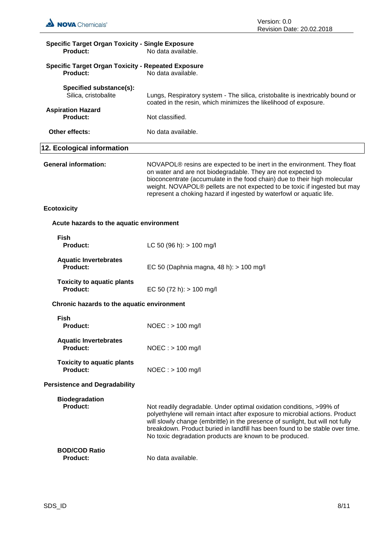| <b>Specific Target Organ Toxicity - Single Exposure</b><br><b>Product:</b>   | No data available.                                                                                                                                                                                                                                                                                                                                                               |  |
|------------------------------------------------------------------------------|----------------------------------------------------------------------------------------------------------------------------------------------------------------------------------------------------------------------------------------------------------------------------------------------------------------------------------------------------------------------------------|--|
| <b>Specific Target Organ Toxicity - Repeated Exposure</b><br><b>Product:</b> | No data available.                                                                                                                                                                                                                                                                                                                                                               |  |
| Specified substance(s):<br>Silica, cristobalite                              | Lungs, Respiratory system - The silica, cristobalite is inextricably bound or<br>coated in the resin, which minimizes the likelihood of exposure.                                                                                                                                                                                                                                |  |
| <b>Aspiration Hazard</b><br><b>Product:</b>                                  | Not classified.                                                                                                                                                                                                                                                                                                                                                                  |  |
| Other effects:                                                               | No data available.                                                                                                                                                                                                                                                                                                                                                               |  |
| 12. Ecological information                                                   |                                                                                                                                                                                                                                                                                                                                                                                  |  |
| <b>General information:</b>                                                  | NOVAPOL® resins are expected to be inert in the environment. They float<br>on water and are not biodegradable. They are not expected to<br>bioconcentrate (accumulate in the food chain) due to their high molecular<br>weight. NOVAPOL® pellets are not expected to be toxic if ingested but may<br>represent a choking hazard if ingested by waterfowl or aquatic life.        |  |
| <b>Ecotoxicity</b>                                                           |                                                                                                                                                                                                                                                                                                                                                                                  |  |
| Acute hazards to the aquatic environment                                     |                                                                                                                                                                                                                                                                                                                                                                                  |  |
| <b>Fish</b><br><b>Product:</b>                                               | LC 50 (96 h): $> 100$ mg/l                                                                                                                                                                                                                                                                                                                                                       |  |
| <b>Aquatic Invertebrates</b><br><b>Product:</b>                              | EC 50 (Daphnia magna, 48 h): > 100 mg/l                                                                                                                                                                                                                                                                                                                                          |  |
| <b>Toxicity to aquatic plants</b><br><b>Product:</b>                         | EC 50 (72 h): $> 100$ mg/l                                                                                                                                                                                                                                                                                                                                                       |  |
| Chronic hazards to the aquatic environment                                   |                                                                                                                                                                                                                                                                                                                                                                                  |  |
| <b>Fish</b><br><b>Product:</b>                                               | NOEC: > 100 mg/l                                                                                                                                                                                                                                                                                                                                                                 |  |
| <b>Aquatic Invertebrates</b><br>Product:                                     | $NOEC :$ > 100 mg/l                                                                                                                                                                                                                                                                                                                                                              |  |
| <b>Toxicity to aquatic plants</b><br><b>Product:</b>                         | $NOEC :$ > 100 mg/l                                                                                                                                                                                                                                                                                                                                                              |  |
| <b>Persistence and Degradability</b>                                         |                                                                                                                                                                                                                                                                                                                                                                                  |  |
| <b>Biodegradation</b><br><b>Product:</b>                                     | Not readily degradable. Under optimal oxidation conditions, >99% of<br>polyethylene will remain intact after exposure to microbial actions. Product<br>will slowly change (embrittle) in the presence of sunlight, but will not fully<br>breakdown. Product buried in landfill has been found to be stable over time.<br>No toxic degradation products are known to be produced. |  |
| <b>BOD/COD Ratio</b><br><b>Product:</b>                                      | No data available.                                                                                                                                                                                                                                                                                                                                                               |  |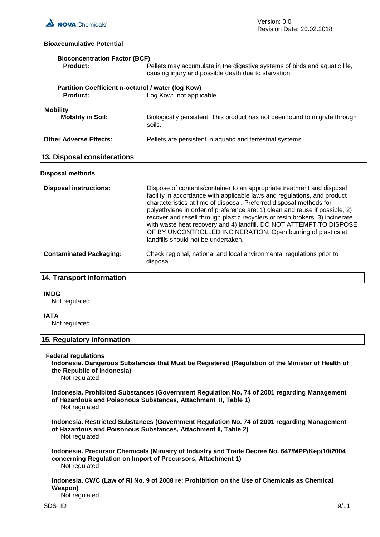

### **Bioaccumulative Potential**

| <b>Bioconcentration Factor (BCF)</b><br>Product:              | Pellets may accumulate in the digestive systems of birds and aquatic life,<br>causing injury and possible death due to starvation.                                                                                                                                                                                                                                                                                                                                                                                                                                     |  |
|---------------------------------------------------------------|------------------------------------------------------------------------------------------------------------------------------------------------------------------------------------------------------------------------------------------------------------------------------------------------------------------------------------------------------------------------------------------------------------------------------------------------------------------------------------------------------------------------------------------------------------------------|--|
| Partition Coefficient n-octanol / water (log Kow)<br>Product: | Log Kow: not applicable                                                                                                                                                                                                                                                                                                                                                                                                                                                                                                                                                |  |
| <b>Mobility</b><br><b>Mobility in Soil:</b>                   | Biologically persistent. This product has not been found to migrate through<br>soils.                                                                                                                                                                                                                                                                                                                                                                                                                                                                                  |  |
| <b>Other Adverse Effects:</b>                                 | Pellets are persistent in aquatic and terrestrial systems.                                                                                                                                                                                                                                                                                                                                                                                                                                                                                                             |  |
| 13. Disposal considerations                                   |                                                                                                                                                                                                                                                                                                                                                                                                                                                                                                                                                                        |  |
| Disposal methods                                              |                                                                                                                                                                                                                                                                                                                                                                                                                                                                                                                                                                        |  |
| <b>Disposal instructions:</b>                                 | Dispose of contents/container to an appropriate treatment and disposal<br>facility in accordance with applicable laws and regulations, and product<br>characteristics at time of disposal. Preferred disposal methods for<br>polyethylene in order of preference are: 1) clean and reuse if possible, 2)<br>recover and resell through plastic recyclers or resin brokers, 3) incinerate<br>with waste heat recovery and 4) landfill. DO NOT ATTEMPT TO DISPOSE<br>OF BY UNCONTROLLED INCINERATION. Open burning of plastics at<br>landfills should not be undertaken. |  |
| <b>Contaminated Packaging:</b>                                | Check regional, national and local environmental regulations prior to<br>disposal.                                                                                                                                                                                                                                                                                                                                                                                                                                                                                     |  |

## **14. Transport information**

#### **IMDG**

Not regulated.

#### **IATA**

Not regulated.

## **15. Regulatory information**

## **Federal regulations**

**Indonesia. Dangerous Substances that Must be Registered (Regulation of the Minister of Health of the Republic of Indonesia)**

Not regulated

**Indonesia. Prohibited Substances (Government Regulation No. 74 of 2001 regarding Management of Hazardous and Poisonous Substances, Attachment II, Table 1)** Not regulated

**Indonesia. Restricted Substances (Government Regulation No. 74 of 2001 regarding Management of Hazardous and Poisonous Substances, Attachment II, Table 2)** Not regulated

**Indonesia. Precursor Chemicals (Ministry of Industry and Trade Decree No. 647/MPP/Kep/10/2004 concerning Regulation on Import of Precursors, Attachment 1)** Not regulated

**Indonesia. CWC (Law of RI No. 9 of 2008 re: Prohibition on the Use of Chemicals as Chemical Weapon)**

Not regulated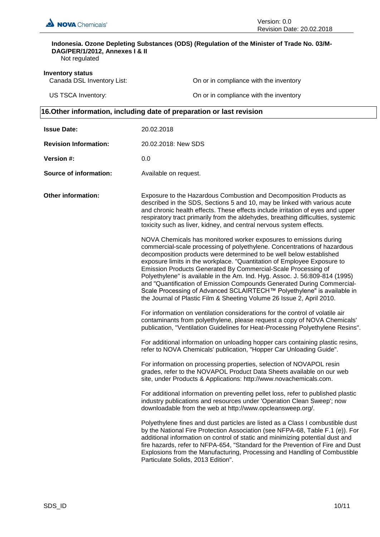

## **Indonesia. Ozone Depleting Substances (ODS) (Regulation of the Minister of Trade No. 03/M-DAG/PER/1/2012, Annexes I & II**

Not regulated

**Inventory status**<br>Canada DSL Inventory List:

On or in compliance with the inventory

US TSCA Inventory: **On or in compliance with the inventory** On or in compliance with the inventory

## **16.Other information, including date of preparation or last revision**

| <b>Issue Date:</b>            | 20.02.2018                                                                                                                                                                                                                                                                                                                                                                                                                                                                                                                                                                                                                                                                   |
|-------------------------------|------------------------------------------------------------------------------------------------------------------------------------------------------------------------------------------------------------------------------------------------------------------------------------------------------------------------------------------------------------------------------------------------------------------------------------------------------------------------------------------------------------------------------------------------------------------------------------------------------------------------------------------------------------------------------|
| <b>Revision Information:</b>  | 20.02.2018: New SDS                                                                                                                                                                                                                                                                                                                                                                                                                                                                                                                                                                                                                                                          |
| Version #:                    | 0.0                                                                                                                                                                                                                                                                                                                                                                                                                                                                                                                                                                                                                                                                          |
| <b>Source of information:</b> | Available on request.                                                                                                                                                                                                                                                                                                                                                                                                                                                                                                                                                                                                                                                        |
| <b>Other information:</b>     | Exposure to the Hazardous Combustion and Decomposition Products as<br>described in the SDS, Sections 5 and 10, may be linked with various acute<br>and chronic health effects. These effects include irritation of eyes and upper<br>respiratory tract primarily from the aldehydes, breathing difficulties, systemic<br>toxicity such as liver, kidney, and central nervous system effects.                                                                                                                                                                                                                                                                                 |
|                               | NOVA Chemicals has monitored worker exposures to emissions during<br>commercial-scale processing of polyethylene. Concentrations of hazardous<br>decomposition products were determined to be well below established<br>exposure limits in the workplace. "Quantitation of Employee Exposure to<br>Emission Products Generated By Commercial-Scale Processing of<br>Polyethylene" is available in the Am. Ind. Hyg. Assoc. J. 56:809-814 (1995)<br>and "Quantification of Emission Compounds Generated During Commercial-<br>Scale Processing of Advanced SCLAIRTECH™ Polyethylene" is available in<br>the Journal of Plastic Film & Sheeting Volume 26 Issue 2, April 2010. |
|                               | For information on ventilation considerations for the control of volatile air<br>contaminants from polyethylene, please request a copy of NOVA Chemicals'<br>publication, "Ventilation Guidelines for Heat-Processing Polyethylene Resins".                                                                                                                                                                                                                                                                                                                                                                                                                                  |
|                               | For additional information on unloading hopper cars containing plastic resins,<br>refer to NOVA Chemicals' publication, "Hopper Car Unloading Guide".                                                                                                                                                                                                                                                                                                                                                                                                                                                                                                                        |
|                               | For information on processing properties, selection of NOVAPOL resin<br>grades, refer to the NOVAPOL Product Data Sheets available on our web<br>site, under Products & Applications: http://www.novachemicals.com.                                                                                                                                                                                                                                                                                                                                                                                                                                                          |
|                               | For additional information on preventing pellet loss, refer to published plastic<br>industry publications and resources under 'Operation Clean Sweep'; now<br>downloadable from the web at http://www.opcleansweep.org/.                                                                                                                                                                                                                                                                                                                                                                                                                                                     |
|                               | Polyethylene fines and dust particles are listed as a Class I combustible dust<br>by the National Fire Protection Association (see NFPA-68, Table F.1 (e)). For<br>additional information on control of static and minimizing potential dust and<br>fire hazards, refer to NFPA-654, "Standard for the Prevention of Fire and Dust<br>Explosions from the Manufacturing, Processing and Handling of Combustible<br>Particulate Solids, 2013 Edition".                                                                                                                                                                                                                        |